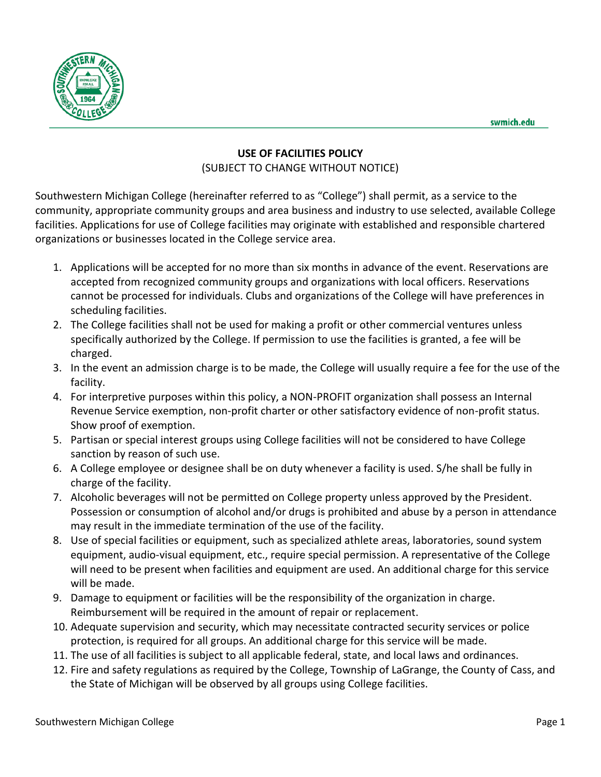

## **USE OF FACILITIES POLICY**  (SUBJECT TO CHANGE WITHOUT NOTICE)

Southwestern Michigan College (hereinafter referred to as "College") shall permit, as a service to the community, appropriate community groups and area business and industry to use selected, available College facilities. Applications for use of College facilities may originate with established and responsible chartered organizations or businesses located in the College service area.

- 1. Applications will be accepted for no more than six months in advance of the event. Reservations are accepted from recognized community groups and organizations with local officers. Reservations cannot be processed for individuals. Clubs and organizations of the College will have preferences in scheduling facilities.
- 2. The College facilities shall not be used for making a profit or other commercial ventures unless specifically authorized by the College. If permission to use the facilities is granted, a fee will be charged.
- 3. In the event an admission charge is to be made, the College will usually require a fee for the use of the facility.
- 4. For interpretive purposes within this policy, a NON-PROFIT organization shall possess an Internal Revenue Service exemption, non-profit charter or other satisfactory evidence of non-profit status. Show proof of exemption.
- 5. Partisan or special interest groups using College facilities will not be considered to have College sanction by reason of such use.
- 6. A College employee or designee shall be on duty whenever a facility is used. S/he shall be fully in charge of the facility.
- 7. Alcoholic beverages will not be permitted on College property unless approved by the President. Possession or consumption of alcohol and/or drugs is prohibited and abuse by a person in attendance may result in the immediate termination of the use of the facility.
- 8. Use of special facilities or equipment, such as specialized athlete areas, laboratories, sound system equipment, audio-visual equipment, etc., require special permission. A representative of the College will need to be present when facilities and equipment are used. An additional charge for this service will be made.
- 9. Damage to equipment or facilities will be the responsibility of the organization in charge. Reimbursement will be required in the amount of repair or replacement.
- 10. Adequate supervision and security, which may necessitate contracted security services or police protection, is required for all groups. An additional charge for this service will be made.
- 11. The use of all facilities is subject to all applicable federal, state, and local laws and ordinances.
- 12. Fire and safety regulations as required by the College, Township of LaGrange, the County of Cass, and the State of Michigan will be observed by all groups using College facilities.